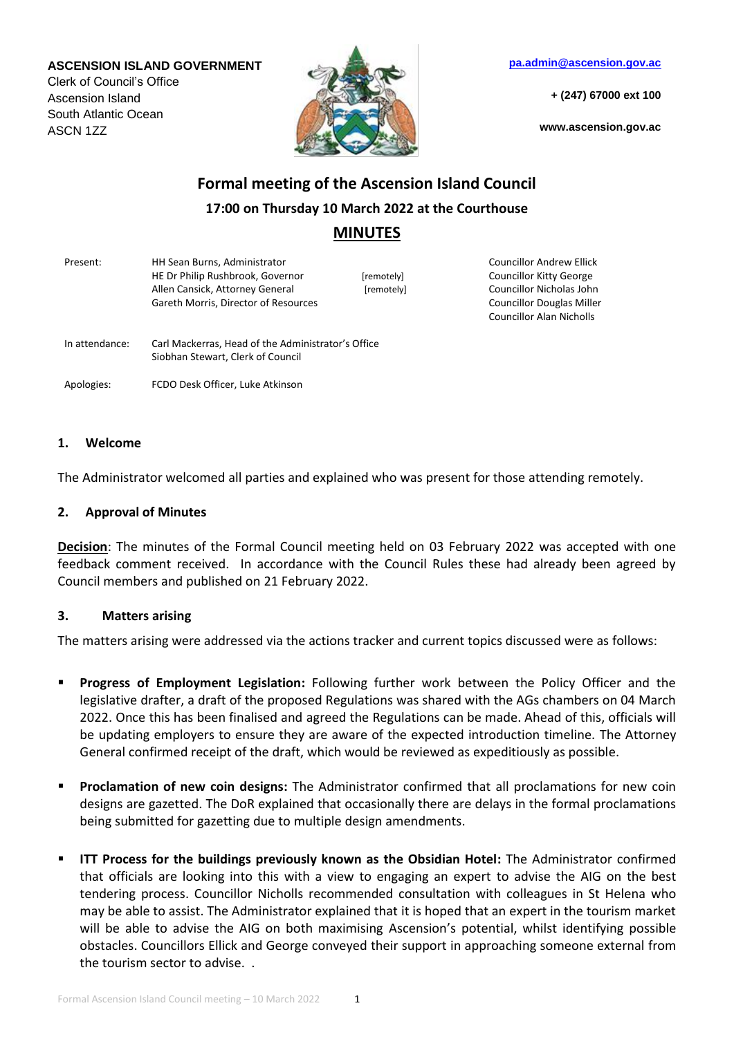#### **ASCENSION ISLAND GOVERNMENT**

Clerk of Council's Office Ascension Island South Atlantic Ocean ASCN 1ZZ



**[pa.admin@ascension.gov.ac](mailto:pa.admin@ascension.gov.ac)**

**+ (247) 67000 ext 100**

**www.ascension.gov.ac**

# **Formal meeting of the Ascension Island Council 17:00 on Thursday 10 March 2022 at the Courthouse MINUTES**

Present: HH Sean Burns, Administrator HE Dr Philip Rushbrook, Governor [remotely] Allen Cansick, Attorney General [remotely] Gareth Morris, Director of Resources Councillor Andrew Ellick Councillor Kitty George Councillor Nicholas John Councillor Douglas Miller Councillor Alan Nicholls In attendance: Carl Mackerras, Head of the Administrator's Office Siobhan Stewart, Clerk of Council Apologies: FCDO Desk Officer, Luke Atkinson

#### **1. Welcome**

The Administrator welcomed all parties and explained who was present for those attending remotely.

#### **2. Approval of Minutes**

**Decision**: The minutes of the Formal Council meeting held on 03 February 2022 was accepted with one feedback comment received. In accordance with the Council Rules these had already been agreed by Council members and published on 21 February 2022.

#### **3. Matters arising**

The matters arising were addressed via the actions tracker and current topics discussed were as follows:

- **Progress of Employment Legislation:** Following further work between the Policy Officer and the legislative drafter, a draft of the proposed Regulations was shared with the AGs chambers on 04 March 2022. Once this has been finalised and agreed the Regulations can be made. Ahead of this, officials will be updating employers to ensure they are aware of the expected introduction timeline. The Attorney General confirmed receipt of the draft, which would be reviewed as expeditiously as possible.
- **Proclamation of new coin designs:** The Administrator confirmed that all proclamations for new coin designs are gazetted. The DoR explained that occasionally there are delays in the formal proclamations being submitted for gazetting due to multiple design amendments.
- **ITT Process for the buildings previously known as the Obsidian Hotel:** The Administrator confirmed that officials are looking into this with a view to engaging an expert to advise the AIG on the best tendering process. Councillor Nicholls recommended consultation with colleagues in St Helena who may be able to assist. The Administrator explained that it is hoped that an expert in the tourism market will be able to advise the AIG on both maximising Ascension's potential, whilst identifying possible obstacles. Councillors Ellick and George conveyed their support in approaching someone external from the tourism sector to advise. .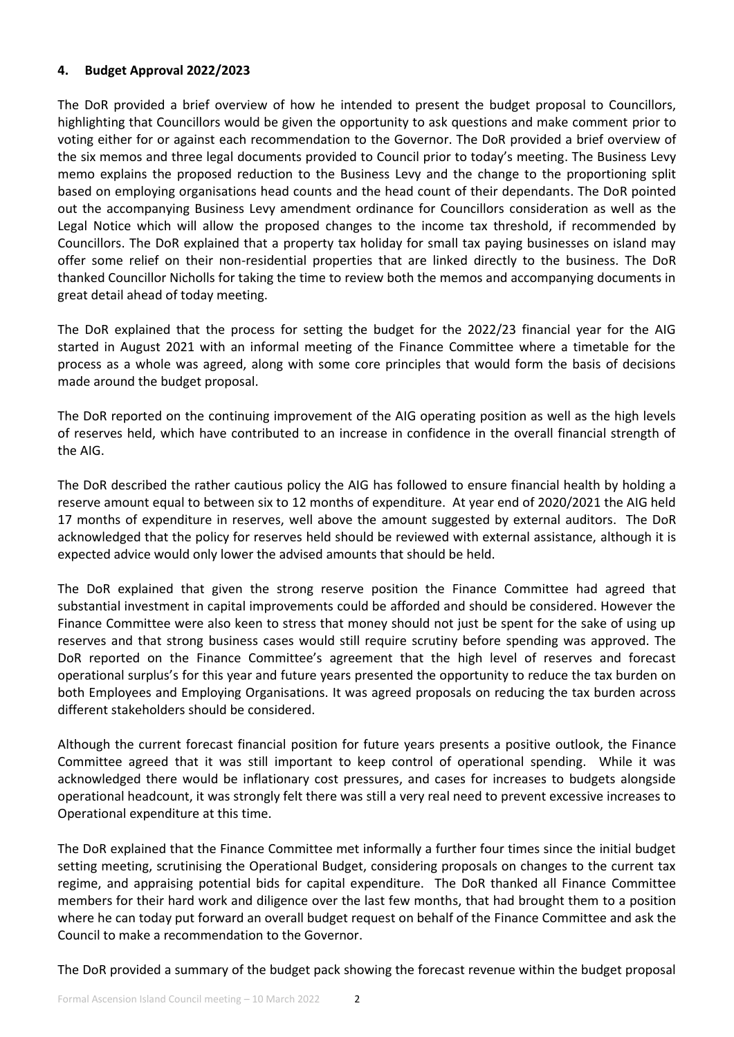#### **4. Budget Approval 2022/2023**

The DoR provided a brief overview of how he intended to present the budget proposal to Councillors, highlighting that Councillors would be given the opportunity to ask questions and make comment prior to voting either for or against each recommendation to the Governor. The DoR provided a brief overview of the six memos and three legal documents provided to Council prior to today's meeting. The Business Levy memo explains the proposed reduction to the Business Levy and the change to the proportioning split based on employing organisations head counts and the head count of their dependants. The DoR pointed out the accompanying Business Levy amendment ordinance for Councillors consideration as well as the Legal Notice which will allow the proposed changes to the income tax threshold, if recommended by Councillors. The DoR explained that a property tax holiday for small tax paying businesses on island may offer some relief on their non-residential properties that are linked directly to the business. The DoR thanked Councillor Nicholls for taking the time to review both the memos and accompanying documents in great detail ahead of today meeting.

The DoR explained that the process for setting the budget for the 2022/23 financial year for the AIG started in August 2021 with an informal meeting of the Finance Committee where a timetable for the process as a whole was agreed, along with some core principles that would form the basis of decisions made around the budget proposal.

The DoR reported on the continuing improvement of the AIG operating position as well as the high levels of reserves held, which have contributed to an increase in confidence in the overall financial strength of the AIG.

The DoR described the rather cautious policy the AIG has followed to ensure financial health by holding a reserve amount equal to between six to 12 months of expenditure. At year end of 2020/2021 the AIG held 17 months of expenditure in reserves, well above the amount suggested by external auditors. The DoR acknowledged that the policy for reserves held should be reviewed with external assistance, although it is expected advice would only lower the advised amounts that should be held.

The DoR explained that given the strong reserve position the Finance Committee had agreed that substantial investment in capital improvements could be afforded and should be considered. However the Finance Committee were also keen to stress that money should not just be spent for the sake of using up reserves and that strong business cases would still require scrutiny before spending was approved. The DoR reported on the Finance Committee's agreement that the high level of reserves and forecast operational surplus's for this year and future years presented the opportunity to reduce the tax burden on both Employees and Employing Organisations. It was agreed proposals on reducing the tax burden across different stakeholders should be considered.

Although the current forecast financial position for future years presents a positive outlook, the Finance Committee agreed that it was still important to keep control of operational spending. While it was acknowledged there would be inflationary cost pressures, and cases for increases to budgets alongside operational headcount, it was strongly felt there was still a very real need to prevent excessive increases to Operational expenditure at this time.

The DoR explained that the Finance Committee met informally a further four times since the initial budget setting meeting, scrutinising the Operational Budget, considering proposals on changes to the current tax regime, and appraising potential bids for capital expenditure. The DoR thanked all Finance Committee members for their hard work and diligence over the last few months, that had brought them to a position where he can today put forward an overall budget request on behalf of the Finance Committee and ask the Council to make a recommendation to the Governor.

The DoR provided a summary of the budget pack showing the forecast revenue within the budget proposal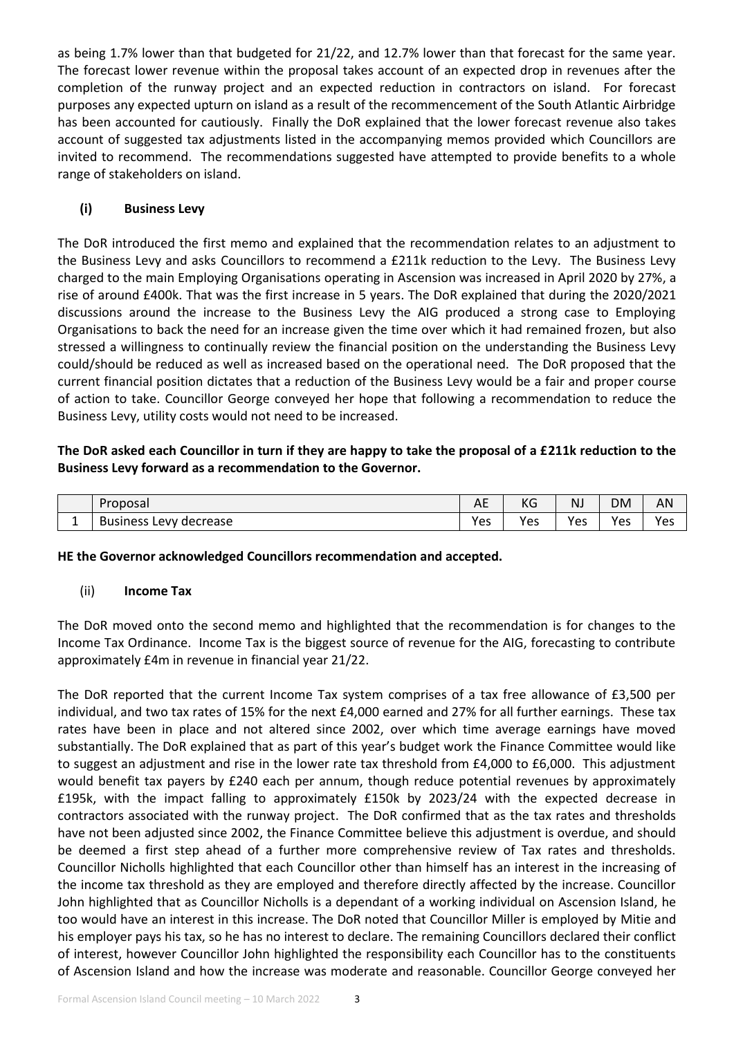as being 1.7% lower than that budgeted for 21/22, and 12.7% lower than that forecast for the same year. The forecast lower revenue within the proposal takes account of an expected drop in revenues after the completion of the runway project and an expected reduction in contractors on island. For forecast purposes any expected upturn on island as a result of the recommencement of the South Atlantic Airbridge has been accounted for cautiously. Finally the DoR explained that the lower forecast revenue also takes account of suggested tax adjustments listed in the accompanying memos provided which Councillors are invited to recommend. The recommendations suggested have attempted to provide benefits to a whole range of stakeholders on island.

# **(i) Business Levy**

The DoR introduced the first memo and explained that the recommendation relates to an adjustment to the Business Levy and asks Councillors to recommend a £211k reduction to the Levy. The Business Levy charged to the main Employing Organisations operating in Ascension was increased in April 2020 by 27%, a rise of around £400k. That was the first increase in 5 years. The DoR explained that during the 2020/2021 discussions around the increase to the Business Levy the AIG produced a strong case to Employing Organisations to back the need for an increase given the time over which it had remained frozen, but also stressed a willingness to continually review the financial position on the understanding the Business Levy could/should be reduced as well as increased based on the operational need. The DoR proposed that the current financial position dictates that a reduction of the Business Levy would be a fair and proper course of action to take. Councillor George conveyed her hope that following a recommendation to reduce the Business Levy, utility costs would not need to be increased.

# **The DoR asked each Councillor in turn if they are happy to take the proposal of a £211k reduction to the Business Levy forward as a recommendation to the Governor.**

| Proposal                                           | $\Lambda$ $\Gamma$<br>∼ | $\overline{1/\sqrt{2}}$<br>NO | <b>NJ</b> | <b>DM</b> | AN  |
|----------------------------------------------------|-------------------------|-------------------------------|-----------|-----------|-----|
| <sup>,</sup> decrease<br><b>Business Lev</b><br>AN | Yes                     | Yes                           | Yes       | Yes       | Yes |

## **HE the Governor acknowledged Councillors recommendation and accepted.**

## (ii) **Income Tax**

The DoR moved onto the second memo and highlighted that the recommendation is for changes to the Income Tax Ordinance. Income Tax is the biggest source of revenue for the AIG, forecasting to contribute approximately £4m in revenue in financial year 21/22.

The DoR reported that the current Income Tax system comprises of a tax free allowance of £3,500 per individual, and two tax rates of 15% for the next £4,000 earned and 27% for all further earnings. These tax rates have been in place and not altered since 2002, over which time average earnings have moved substantially. The DoR explained that as part of this year's budget work the Finance Committee would like to suggest an adjustment and rise in the lower rate tax threshold from £4,000 to £6,000. This adjustment would benefit tax payers by £240 each per annum, though reduce potential revenues by approximately £195k, with the impact falling to approximately £150k by 2023/24 with the expected decrease in contractors associated with the runway project. The DoR confirmed that as the tax rates and thresholds have not been adjusted since 2002, the Finance Committee believe this adjustment is overdue, and should be deemed a first step ahead of a further more comprehensive review of Tax rates and thresholds. Councillor Nicholls highlighted that each Councillor other than himself has an interest in the increasing of the income tax threshold as they are employed and therefore directly affected by the increase. Councillor John highlighted that as Councillor Nicholls is a dependant of a working individual on Ascension Island, he too would have an interest in this increase. The DoR noted that Councillor Miller is employed by Mitie and his employer pays his tax, so he has no interest to declare. The remaining Councillors declared their conflict of interest, however Councillor John highlighted the responsibility each Councillor has to the constituents of Ascension Island and how the increase was moderate and reasonable. Councillor George conveyed her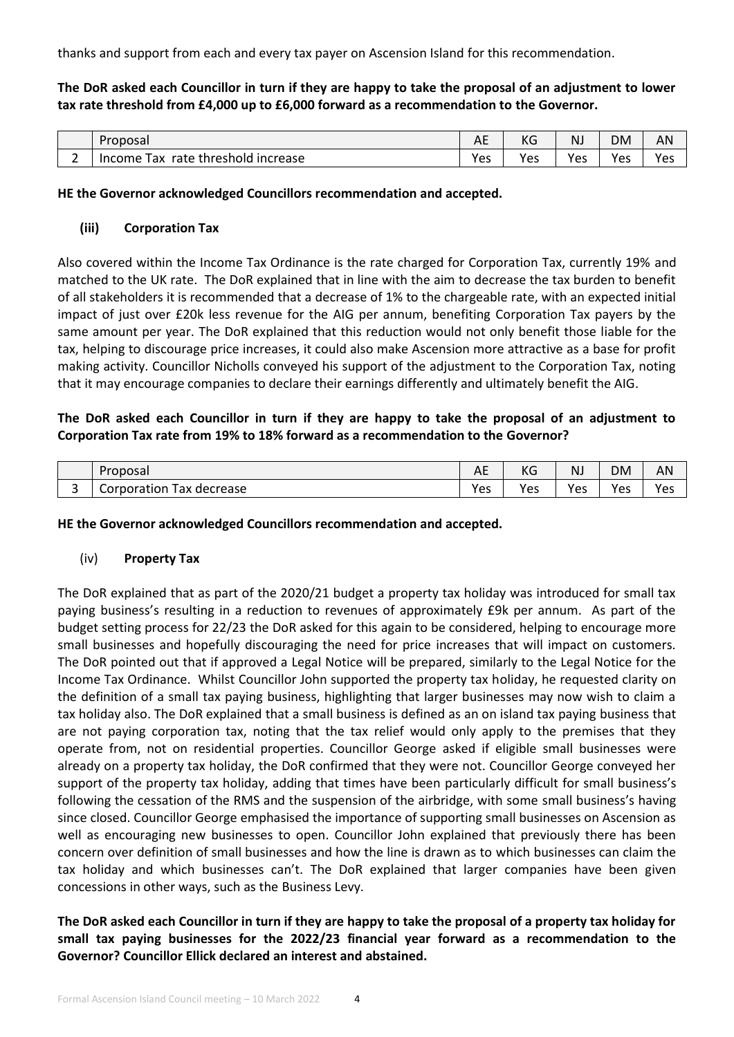thanks and support from each and every tax payer on Ascension Island for this recommendation.

**The DoR asked each Councillor in turn if they are happy to take the proposal of an adjustment to lower tax rate threshold from £4,000 up to £6,000 forward as a recommendation to the Governor.** 

|   | Proposal                                               | $\cdot$ $-$<br>∼ | $\sqrt{ }$<br>NQ | NJ  | <b>DM</b>       | . .<br>יור |
|---|--------------------------------------------------------|------------------|------------------|-----|-----------------|------------|
| - | increase<br>rate<br>: threshold<br>ax<br><b>Income</b> | Yes              | Yes              | Yes | <b>Vec</b><br>င | Yes        |

**HE the Governor acknowledged Councillors recommendation and accepted.**

## **(iii) Corporation Tax**

Also covered within the Income Tax Ordinance is the rate charged for Corporation Tax, currently 19% and matched to the UK rate. The DoR explained that in line with the aim to decrease the tax burden to benefit of all stakeholders it is recommended that a decrease of 1% to the chargeable rate, with an expected initial impact of just over £20k less revenue for the AIG per annum, benefiting Corporation Tax payers by the same amount per year. The DoR explained that this reduction would not only benefit those liable for the tax, helping to discourage price increases, it could also make Ascension more attractive as a base for profit making activity. Councillor Nicholls conveyed his support of the adjustment to the Corporation Tax, noting that it may encourage companies to declare their earnings differently and ultimately benefit the AIG.

# **The DoR asked each Councillor in turn if they are happy to take the proposal of an adjustment to Corporation Tax rate from 19% to 18% forward as a recommendation to the Governor?**

|        | Proposal                       | $\Lambda$ $\Gamma$<br>¬∟ | $\overline{V}$<br>NO | NJ  | <b>DM</b> | AN  |
|--------|--------------------------------|--------------------------|----------------------|-----|-----------|-----|
| ∽<br>∽ | ax.<br>Corporation<br>decrease | Yes                      | Yes                  | Yes | Yes       | Yes |

**HE the Governor acknowledged Councillors recommendation and accepted.**

## (iv) **Property Tax**

The DoR explained that as part of the 2020/21 budget a property tax holiday was introduced for small tax paying business's resulting in a reduction to revenues of approximately £9k per annum. As part of the budget setting process for 22/23 the DoR asked for this again to be considered, helping to encourage more small businesses and hopefully discouraging the need for price increases that will impact on customers. The DoR pointed out that if approved a Legal Notice will be prepared, similarly to the Legal Notice for the Income Tax Ordinance. Whilst Councillor John supported the property tax holiday, he requested clarity on the definition of a small tax paying business, highlighting that larger businesses may now wish to claim a tax holiday also. The DoR explained that a small business is defined as an on island tax paying business that are not paying corporation tax, noting that the tax relief would only apply to the premises that they operate from, not on residential properties. Councillor George asked if eligible small businesses were already on a property tax holiday, the DoR confirmed that they were not. Councillor George conveyed her support of the property tax holiday, adding that times have been particularly difficult for small business's following the cessation of the RMS and the suspension of the airbridge, with some small business's having since closed. Councillor George emphasised the importance of supporting small businesses on Ascension as well as encouraging new businesses to open. Councillor John explained that previously there has been concern over definition of small businesses and how the line is drawn as to which businesses can claim the tax holiday and which businesses can't. The DoR explained that larger companies have been given concessions in other ways, such as the Business Levy.

## **The DoR asked each Councillor in turn if they are happy to take the proposal of a property tax holiday for small tax paying businesses for the 2022/23 financial year forward as a recommendation to the Governor? Councillor Ellick declared an interest and abstained.**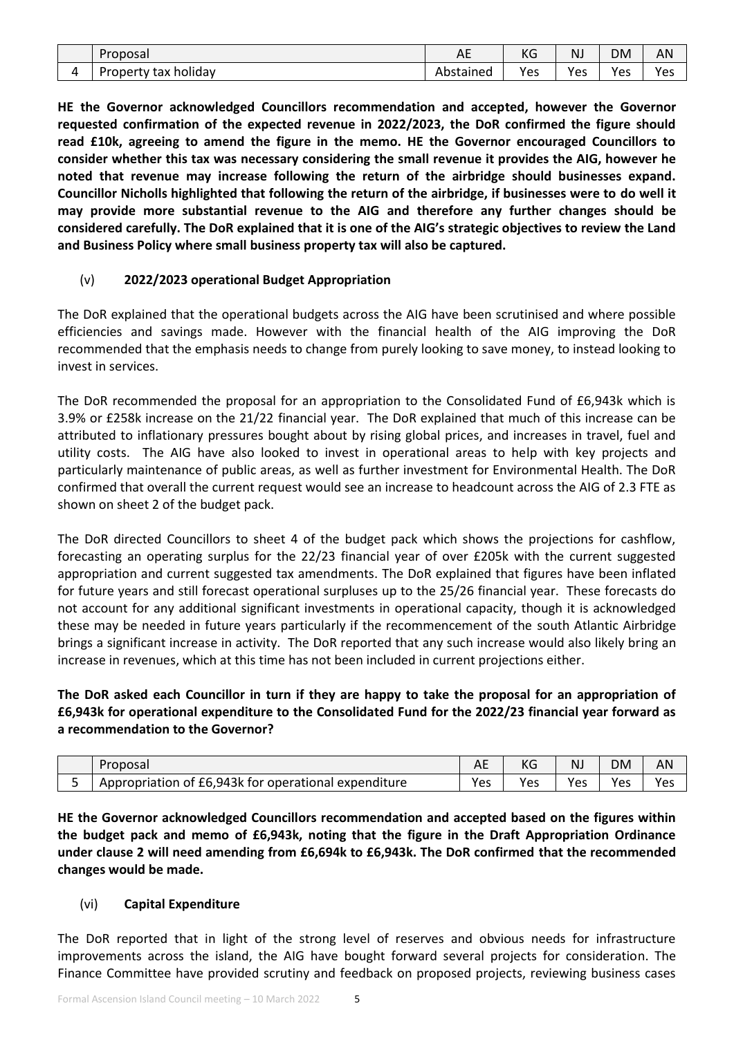| Proposal                            | AE        | $\overline{V}$<br>КG | NJ       | <b>DM</b>                | ΑN  |
|-------------------------------------|-----------|----------------------|----------|--------------------------|-----|
| $\cdots$<br>holidav<br>Property tax | Abstained | Yes                  | V۵c<br>ີ | $V_{\alpha c}$<br>-<br>ີ | Yes |

**HE the Governor acknowledged Councillors recommendation and accepted, however the Governor requested confirmation of the expected revenue in 2022/2023, the DoR confirmed the figure should read £10k, agreeing to amend the figure in the memo. HE the Governor encouraged Councillors to consider whether this tax was necessary considering the small revenue it provides the AIG, however he noted that revenue may increase following the return of the airbridge should businesses expand. Councillor Nicholls highlighted that following the return of the airbridge, if businesses were to do well it may provide more substantial revenue to the AIG and therefore any further changes should be considered carefully. The DoR explained that it is one of the AIG's strategic objectives to review the Land and Business Policy where small business property tax will also be captured.** 

# (v) **2022/2023 operational Budget Appropriation**

The DoR explained that the operational budgets across the AIG have been scrutinised and where possible efficiencies and savings made. However with the financial health of the AIG improving the DoR recommended that the emphasis needs to change from purely looking to save money, to instead looking to invest in services.

The DoR recommended the proposal for an appropriation to the Consolidated Fund of £6,943k which is 3.9% or £258k increase on the 21/22 financial year. The DoR explained that much of this increase can be attributed to inflationary pressures bought about by rising global prices, and increases in travel, fuel and utility costs. The AIG have also looked to invest in operational areas to help with key projects and particularly maintenance of public areas, as well as further investment for Environmental Health. The DoR confirmed that overall the current request would see an increase to headcount across the AIG of 2.3 FTE as shown on sheet 2 of the budget pack.

The DoR directed Councillors to sheet 4 of the budget pack which shows the projections for cashflow, forecasting an operating surplus for the 22/23 financial year of over £205k with the current suggested appropriation and current suggested tax amendments. The DoR explained that figures have been inflated for future years and still forecast operational surpluses up to the 25/26 financial year. These forecasts do not account for any additional significant investments in operational capacity, though it is acknowledged these may be needed in future years particularly if the recommencement of the south Atlantic Airbridge brings a significant increase in activity. The DoR reported that any such increase would also likely bring an increase in revenues, which at this time has not been included in current projections either.

# **The DoR asked each Councillor in turn if they are happy to take the proposal for an appropriation of £6,943k for operational expenditure to the Consolidated Fund for the 2022/23 financial year forward as a recommendation to the Governor?**

| Proposai                                                | ∼   | $\overline{L}$<br>NG | NJ  | DM              | יור |
|---------------------------------------------------------|-----|----------------------|-----|-----------------|-----|
| Appropriation of £6,943k for operational<br>expenditure | Yes | Yes                  | Yes | <b>Ves</b><br>င | Yes |

**HE the Governor acknowledged Councillors recommendation and accepted based on the figures within the budget pack and memo of £6,943k, noting that the figure in the Draft Appropriation Ordinance under clause 2 will need amending from £6,694k to £6,943k. The DoR confirmed that the recommended changes would be made.** 

## (vi) **Capital Expenditure**

The DoR reported that in light of the strong level of reserves and obvious needs for infrastructure improvements across the island, the AIG have bought forward several projects for consideration. The Finance Committee have provided scrutiny and feedback on proposed projects, reviewing business cases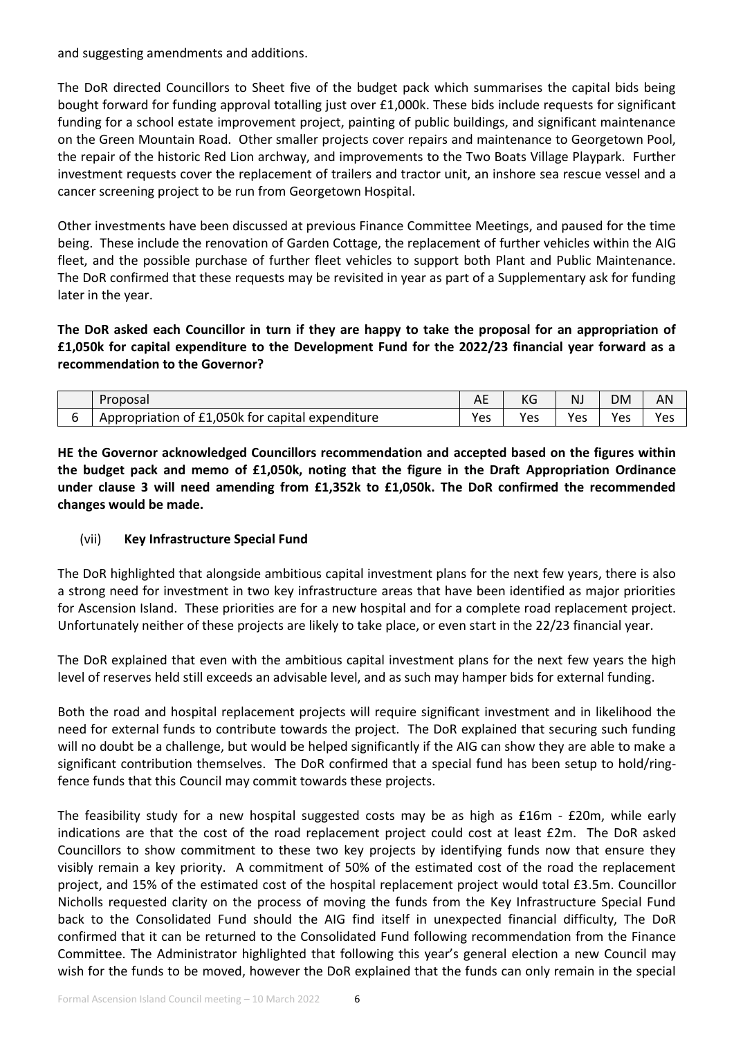and suggesting amendments and additions.

The DoR directed Councillors to Sheet five of the budget pack which summarises the capital bids being bought forward for funding approval totalling just over £1,000k. These bids include requests for significant funding for a school estate improvement project, painting of public buildings, and significant maintenance on the Green Mountain Road. Other smaller projects cover repairs and maintenance to Georgetown Pool, the repair of the historic Red Lion archway, and improvements to the Two Boats Village Playpark. Further investment requests cover the replacement of trailers and tractor unit, an inshore sea rescue vessel and a cancer screening project to be run from Georgetown Hospital.

Other investments have been discussed at previous Finance Committee Meetings, and paused for the time being. These include the renovation of Garden Cottage, the replacement of further vehicles within the AIG fleet, and the possible purchase of further fleet vehicles to support both Plant and Public Maintenance. The DoR confirmed that these requests may be revisited in year as part of a Supplementary ask for funding later in the year.

**The DoR asked each Councillor in turn if they are happy to take the proposal for an appropriation of £1,050k for capital expenditure to the Development Fund for the 2022/23 financial year forward as a recommendation to the Governor?**

| Proposal                                         | ¬∟  | NG  | <b>NJ</b> | <b>DM</b> | AN  |
|--------------------------------------------------|-----|-----|-----------|-----------|-----|
| Appropriation of £1,050k for capital expenditure | Yes | Yes | Yes       | Yes       | Yes |

**HE the Governor acknowledged Councillors recommendation and accepted based on the figures within the budget pack and memo of £1,050k, noting that the figure in the Draft Appropriation Ordinance under clause 3 will need amending from £1,352k to £1,050k. The DoR confirmed the recommended changes would be made.** 

# (vii) **Key Infrastructure Special Fund**

The DoR highlighted that alongside ambitious capital investment plans for the next few years, there is also a strong need for investment in two key infrastructure areas that have been identified as major priorities for Ascension Island. These priorities are for a new hospital and for a complete road replacement project. Unfortunately neither of these projects are likely to take place, or even start in the 22/23 financial year.

The DoR explained that even with the ambitious capital investment plans for the next few years the high level of reserves held still exceeds an advisable level, and as such may hamper bids for external funding.

Both the road and hospital replacement projects will require significant investment and in likelihood the need for external funds to contribute towards the project. The DoR explained that securing such funding will no doubt be a challenge, but would be helped significantly if the AIG can show they are able to make a significant contribution themselves. The DoR confirmed that a special fund has been setup to hold/ringfence funds that this Council may commit towards these projects.

The feasibility study for a new hospital suggested costs may be as high as £16m - £20m, while early indications are that the cost of the road replacement project could cost at least £2m. The DoR asked Councillors to show commitment to these two key projects by identifying funds now that ensure they visibly remain a key priority. A commitment of 50% of the estimated cost of the road the replacement project, and 15% of the estimated cost of the hospital replacement project would total £3.5m. Councillor Nicholls requested clarity on the process of moving the funds from the Key Infrastructure Special Fund back to the Consolidated Fund should the AIG find itself in unexpected financial difficulty, The DoR confirmed that it can be returned to the Consolidated Fund following recommendation from the Finance Committee. The Administrator highlighted that following this year's general election a new Council may wish for the funds to be moved, however the DoR explained that the funds can only remain in the special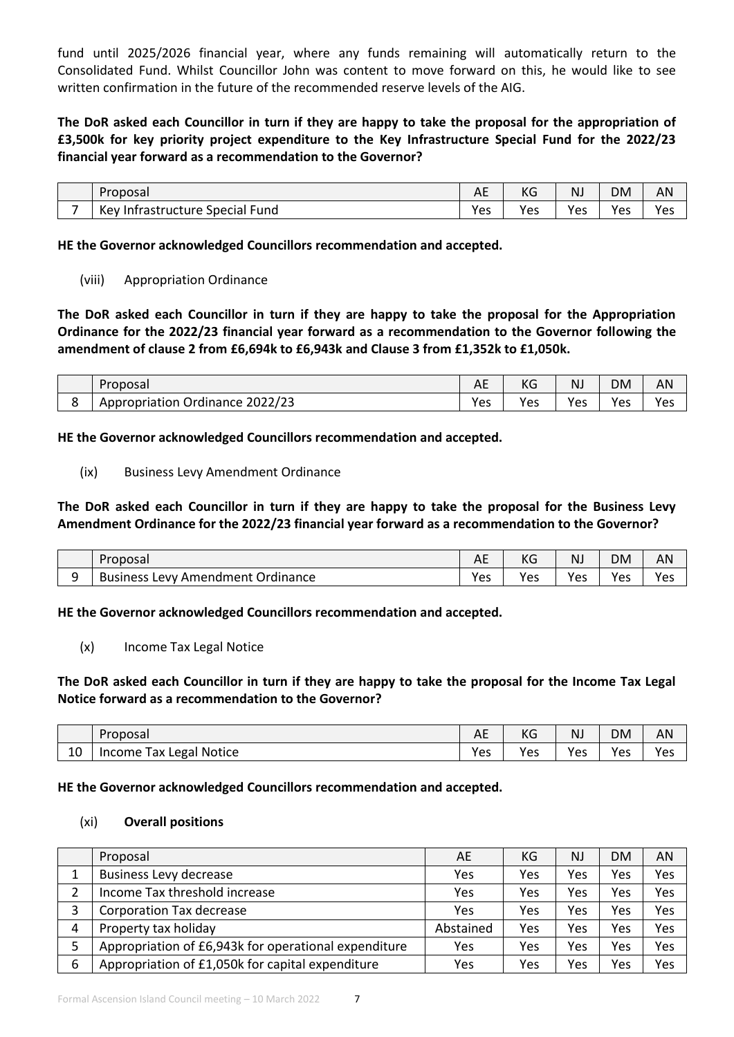fund until 2025/2026 financial year, where any funds remaining will automatically return to the Consolidated Fund. Whilst Councillor John was content to move forward on this, he would like to see written confirmation in the future of the recommended reserve levels of the AIG.

**The DoR asked each Councillor in turn if they are happy to take the proposal for the appropriation of £3,500k for key priority project expenditure to the Key Infrastructure Special Fund for the 2022/23 financial year forward as a recommendation to the Governor?**

|   | Proposal                           | AE  | KG  | NJ        | DM               | AN              |
|---|------------------------------------|-----|-----|-----------|------------------|-----------------|
| - | Special Fund<br>Kev Infrastructure | Yes | Yes | ۷ρς<br>ືບ | <b>Ves</b><br>ັບ | <b>Vec</b><br>ັ |

**HE the Governor acknowledged Councillors recommendation and accepted.**

#### (viii) Appropriation Ordinance

**The DoR asked each Councillor in turn if they are happy to take the proposal for the Appropriation Ordinance for the 2022/23 financial year forward as a recommendation to the Governor following the amendment of clause 2 from £6,694k to £6,943k and Clause 3 from £1,352k to £1,050k.**

|   | Proposal                                  | AE  | KG  | NJ  | DM                | AN  |
|---|-------------------------------------------|-----|-----|-----|-------------------|-----|
| ົ | 2022/23<br><br>Ordinance<br>Appropriation | Yes | Yes | Yes | <b>Yes</b><br>د ب | Yes |

**HE the Governor acknowledged Councillors recommendation and accepted.**

#### (ix) Business Levy Amendment Ordinance

**The DoR asked each Councillor in turn if they are happy to take the proposal for the Business Levy Amendment Ordinance for the 2022/23 financial year forward as a recommendation to the Governor?** 

|   | Proposal                                                      | . .<br>Λ.<br>AL | KG  | NJ  | <b>DM</b>       | AN  |
|---|---------------------------------------------------------------|-----------------|-----|-----|-----------------|-----|
| ົ | Ordinance<br><b>Business</b><br>' Amendment<br><b>AW</b><br>ີ | Yes             | Yes | Yes | <b>Ves</b><br>c | Yes |

**HE the Governor acknowledged Councillors recommendation and accepted.**

(x) Income Tax Legal Notice

# **The DoR asked each Councillor in turn if they are happy to take the proposal for the Income Tax Legal Notice forward as a recommendation to the Governor?**

|    | Proposal                | AE  | KG  | NJ  | <b>DM</b> | ΑN  |
|----|-------------------------|-----|-----|-----|-----------|-----|
| 10 | Income Tax Legal Notice | Yes | Yes | Yes | Yes       | Yes |

#### **HE the Governor acknowledged Councillors recommendation and accepted.**

#### (xi) **Overall positions**

|   | Proposal                                             | AE        | КG  | <b>NJ</b> | <b>DM</b> | AN  |
|---|------------------------------------------------------|-----------|-----|-----------|-----------|-----|
|   | <b>Business Levy decrease</b>                        | Yes       | Yes | Yes       | Yes       | Yes |
|   | Income Tax threshold increase                        | Yes       | Yes | Yes       | Yes       | Yes |
|   | Corporation Tax decrease                             | Yes       | Yes | Yes       | Yes       | Yes |
| 4 | Property tax holiday                                 | Abstained | Yes | Yes       | Yes       | Yes |
|   | Appropriation of £6,943k for operational expenditure | Yes       | Yes | Yes       | Yes       | Yes |
| 6 | Appropriation of £1,050k for capital expenditure     | Yes       | Yes | Yes       | Yes       | Yes |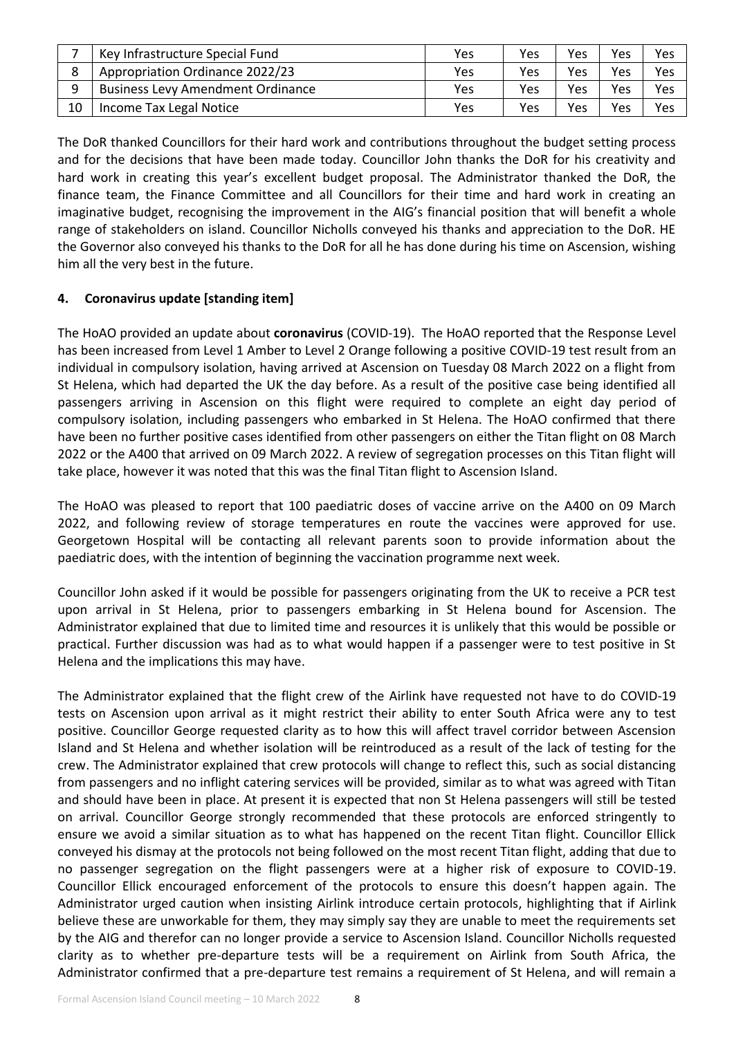|    | Key Infrastructure Special Fund          | Yes | Yes | Yes | <b>Yes</b> | Yes |
|----|------------------------------------------|-----|-----|-----|------------|-----|
|    | Appropriation Ordinance 2022/23          | Yes | Yes | Yes | Yes        | Yes |
| q  | <b>Business Levy Amendment Ordinance</b> | Yes | Yes | Yes | <b>Yes</b> | Yes |
| 10 | Income Tax Legal Notice                  | Yes | Yes | Yes | Yes        | Yes |

The DoR thanked Councillors for their hard work and contributions throughout the budget setting process and for the decisions that have been made today. Councillor John thanks the DoR for his creativity and hard work in creating this year's excellent budget proposal. The Administrator thanked the DoR, the finance team, the Finance Committee and all Councillors for their time and hard work in creating an imaginative budget, recognising the improvement in the AIG's financial position that will benefit a whole range of stakeholders on island. Councillor Nicholls conveyed his thanks and appreciation to the DoR. HE the Governor also conveyed his thanks to the DoR for all he has done during his time on Ascension, wishing him all the very best in the future.

# **4. Coronavirus update [standing item]**

The HoAO provided an update about **coronavirus** (COVID-19). The HoAO reported that the Response Level has been increased from Level 1 Amber to Level 2 Orange following a positive COVID-19 test result from an individual in compulsory isolation, having arrived at Ascension on Tuesday 08 March 2022 on a flight from St Helena, which had departed the UK the day before. As a result of the positive case being identified all passengers arriving in Ascension on this flight were required to complete an eight day period of compulsory isolation, including passengers who embarked in St Helena. The HoAO confirmed that there have been no further positive cases identified from other passengers on either the Titan flight on 08 March 2022 or the A400 that arrived on 09 March 2022. A review of segregation processes on this Titan flight will take place, however it was noted that this was the final Titan flight to Ascension Island.

The HoAO was pleased to report that 100 paediatric doses of vaccine arrive on the A400 on 09 March 2022, and following review of storage temperatures en route the vaccines were approved for use. Georgetown Hospital will be contacting all relevant parents soon to provide information about the paediatric does, with the intention of beginning the vaccination programme next week.

Councillor John asked if it would be possible for passengers originating from the UK to receive a PCR test upon arrival in St Helena, prior to passengers embarking in St Helena bound for Ascension. The Administrator explained that due to limited time and resources it is unlikely that this would be possible or practical. Further discussion was had as to what would happen if a passenger were to test positive in St Helena and the implications this may have.

The Administrator explained that the flight crew of the Airlink have requested not have to do COVID-19 tests on Ascension upon arrival as it might restrict their ability to enter South Africa were any to test positive. Councillor George requested clarity as to how this will affect travel corridor between Ascension Island and St Helena and whether isolation will be reintroduced as a result of the lack of testing for the crew. The Administrator explained that crew protocols will change to reflect this, such as social distancing from passengers and no inflight catering services will be provided, similar as to what was agreed with Titan and should have been in place. At present it is expected that non St Helena passengers will still be tested on arrival. Councillor George strongly recommended that these protocols are enforced stringently to ensure we avoid a similar situation as to what has happened on the recent Titan flight. Councillor Ellick conveyed his dismay at the protocols not being followed on the most recent Titan flight, adding that due to no passenger segregation on the flight passengers were at a higher risk of exposure to COVID-19. Councillor Ellick encouraged enforcement of the protocols to ensure this doesn't happen again. The Administrator urged caution when insisting Airlink introduce certain protocols, highlighting that if Airlink believe these are unworkable for them, they may simply say they are unable to meet the requirements set by the AIG and therefor can no longer provide a service to Ascension Island. Councillor Nicholls requested clarity as to whether pre-departure tests will be a requirement on Airlink from South Africa, the Administrator confirmed that a pre-departure test remains a requirement of St Helena, and will remain a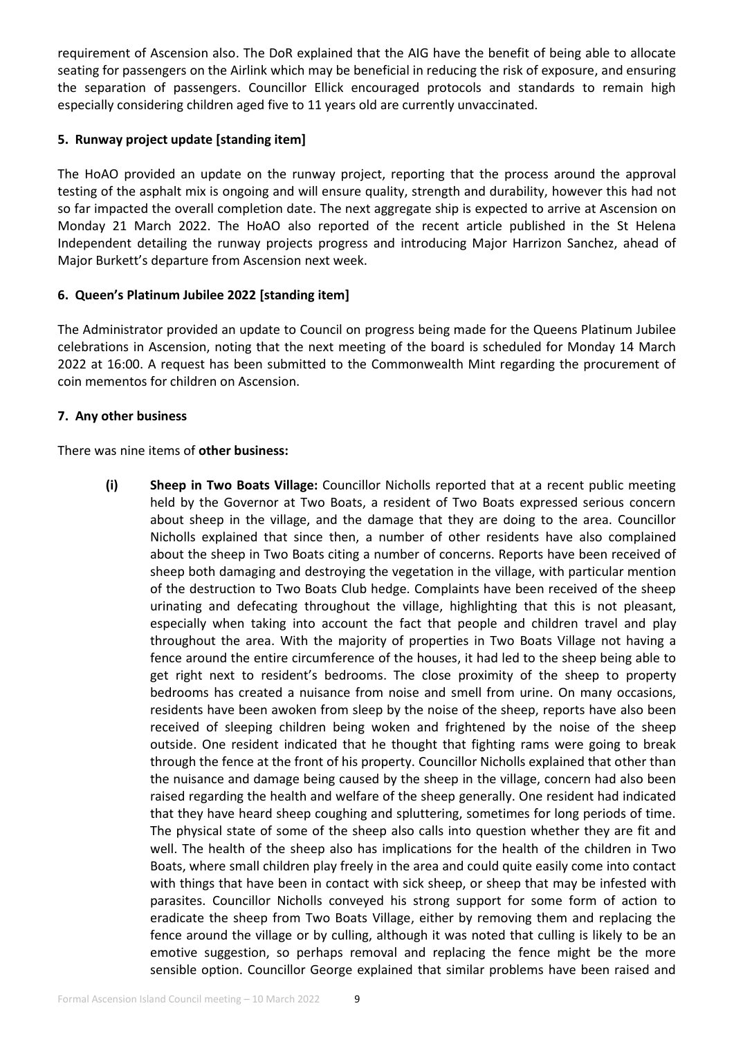requirement of Ascension also. The DoR explained that the AIG have the benefit of being able to allocate seating for passengers on the Airlink which may be beneficial in reducing the risk of exposure, and ensuring the separation of passengers. Councillor Ellick encouraged protocols and standards to remain high especially considering children aged five to 11 years old are currently unvaccinated.

# **5. Runway project update [standing item]**

The HoAO provided an update on the runway project, reporting that the process around the approval testing of the asphalt mix is ongoing and will ensure quality, strength and durability, however this had not so far impacted the overall completion date. The next aggregate ship is expected to arrive at Ascension on Monday 21 March 2022. The HoAO also reported of the recent article published in the St Helena Independent detailing the runway projects progress and introducing Major Harrizon Sanchez, ahead of Major Burkett's departure from Ascension next week.

## **6. Queen's Platinum Jubilee 2022 [standing item]**

The Administrator provided an update to Council on progress being made for the Queens Platinum Jubilee celebrations in Ascension, noting that the next meeting of the board is scheduled for Monday 14 March 2022 at 16:00. A request has been submitted to the Commonwealth Mint regarding the procurement of coin mementos for children on Ascension.

# **7. Any other business**

There was nine items of **other business:**

**(i) Sheep in Two Boats Village:** Councillor Nicholls reported that at a recent public meeting held by the Governor at Two Boats, a resident of Two Boats expressed serious concern about sheep in the village, and the damage that they are doing to the area. Councillor Nicholls explained that since then, a number of other residents have also complained about the sheep in Two Boats citing a number of concerns. Reports have been received of sheep both damaging and destroying the vegetation in the village, with particular mention of the destruction to Two Boats Club hedge. Complaints have been received of the sheep urinating and defecating throughout the village, highlighting that this is not pleasant, especially when taking into account the fact that people and children travel and play throughout the area. With the majority of properties in Two Boats Village not having a fence around the entire circumference of the houses, it had led to the sheep being able to get right next to resident's bedrooms. The close proximity of the sheep to property bedrooms has created a nuisance from noise and smell from urine. On many occasions, residents have been awoken from sleep by the noise of the sheep, reports have also been received of sleeping children being woken and frightened by the noise of the sheep outside. One resident indicated that he thought that fighting rams were going to break through the fence at the front of his property. Councillor Nicholls explained that other than the nuisance and damage being caused by the sheep in the village, concern had also been raised regarding the health and welfare of the sheep generally. One resident had indicated that they have heard sheep coughing and spluttering, sometimes for long periods of time. The physical state of some of the sheep also calls into question whether they are fit and well. The health of the sheep also has implications for the health of the children in Two Boats, where small children play freely in the area and could quite easily come into contact with things that have been in contact with sick sheep, or sheep that may be infested with parasites. Councillor Nicholls conveyed his strong support for some form of action to eradicate the sheep from Two Boats Village, either by removing them and replacing the fence around the village or by culling, although it was noted that culling is likely to be an emotive suggestion, so perhaps removal and replacing the fence might be the more sensible option. Councillor George explained that similar problems have been raised and